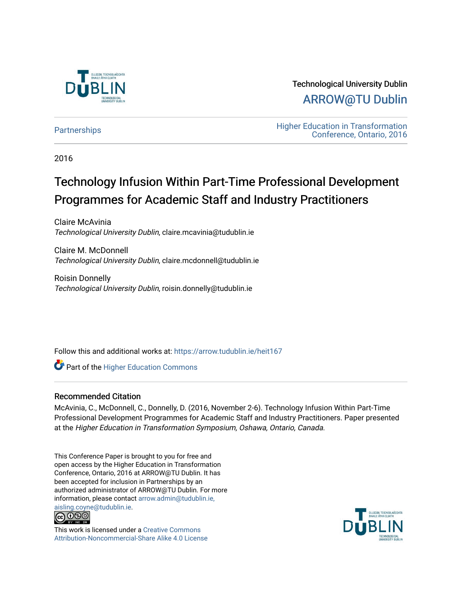

Technological University Dublin [ARROW@TU Dublin](https://arrow.tudublin.ie/) 

[Partnerships](https://arrow.tudublin.ie/heit167) **Education** Higher Education in Transformation [Conference, Ontario, 2016](https://arrow.tudublin.ie/tuheit16) 

2016

# Technology Infusion Within Part-Time Professional Development Programmes for Academic Staff and Industry Practitioners

Claire McAvinia Technological University Dublin, claire.mcavinia@tudublin.ie

Claire M. McDonnell Technological University Dublin, claire.mcdonnell@tudublin.ie

Roisin Donnelly Technological University Dublin, roisin.donnelly@tudublin.ie

Follow this and additional works at: [https://arrow.tudublin.ie/heit167](https://arrow.tudublin.ie/heit167?utm_source=arrow.tudublin.ie%2Fheit167%2F4&utm_medium=PDF&utm_campaign=PDFCoverPages)

**Part of the Higher Education Commons** 

#### Recommended Citation

McAvinia, C., McDonnell, C., Donnelly, D. (2016, November 2-6). Technology Infusion Within Part-Time Professional Development Programmes for Academic Staff and Industry Practitioners. Paper presented at the Higher Education in Transformation Symposium, Oshawa, Ontario, Canada.

This Conference Paper is brought to you for free and open access by the Higher Education in Transformation Conference, Ontario, 2016 at ARROW@TU Dublin. It has been accepted for inclusion in Partnerships by an authorized administrator of ARROW@TU Dublin. For more information, please contact [arrow.admin@tudublin.ie,](mailto:arrow.admin@tudublin.ie,%20aisling.coyne@tudublin.ie)  [aisling.coyne@tudublin.ie.](mailto:arrow.admin@tudublin.ie,%20aisling.coyne@tudublin.ie)<br>@009



This work is licensed under a [Creative Commons](http://creativecommons.org/licenses/by-nc-sa/4.0/) [Attribution-Noncommercial-Share Alike 4.0 License](http://creativecommons.org/licenses/by-nc-sa/4.0/)

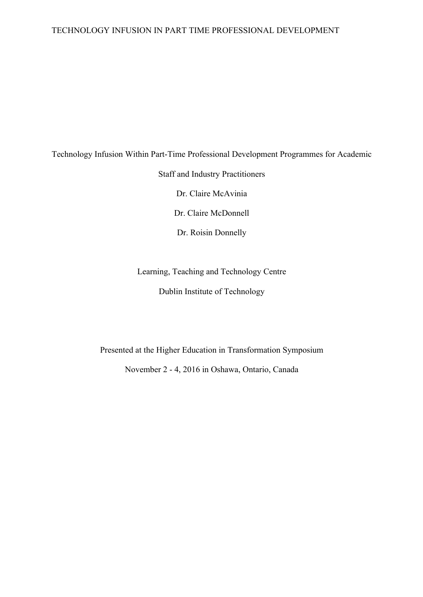#### TECHNOLOGY INFUSION IN PART TIME PROFESSIONAL DEVELOPMENT

# Technology Infusion Within Part-Time Professional Development Programmes for Academic Staff and Industry Practitioners Dr. Claire McAvinia Dr. Claire McDonnell Dr. Roisin Donnelly

Learning, Teaching and Technology Centre Dublin Institute of Technology

Presented at the Higher Education in Transformation Symposium November 2 - 4, 2016 in Oshawa, Ontario, Canada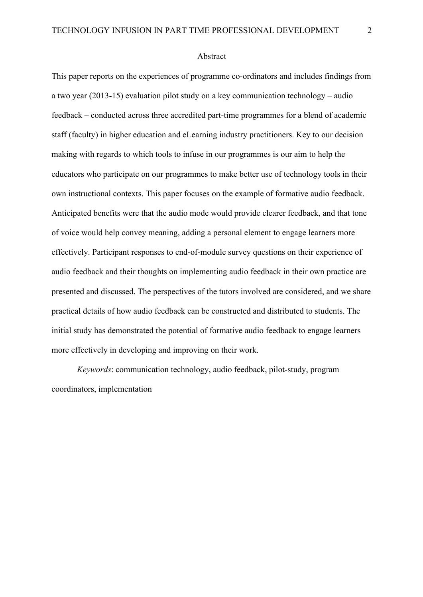#### Abstract

This paper reports on the experiences of programme co-ordinators and includes findings from a two year (2013-15) evaluation pilot study on a key communication technology – audio feedback – conducted across three accredited part-time programmes for a blend of academic staff (faculty) in higher education and eLearning industry practitioners. Key to our decision making with regards to which tools to infuse in our programmes is our aim to help the educators who participate on our programmes to make better use of technology tools in their own instructional contexts. This paper focuses on the example of formative audio feedback. Anticipated benefits were that the audio mode would provide clearer feedback, and that tone of voice would help convey meaning, adding a personal element to engage learners more effectively. Participant responses to end-of-module survey questions on their experience of audio feedback and their thoughts on implementing audio feedback in their own practice are presented and discussed. The perspectives of the tutors involved are considered, and we share practical details of how audio feedback can be constructed and distributed to students. The initial study has demonstrated the potential of formative audio feedback to engage learners more effectively in developing and improving on their work.

*Keywords*: communication technology, audio feedback, pilot-study, program coordinators, implementation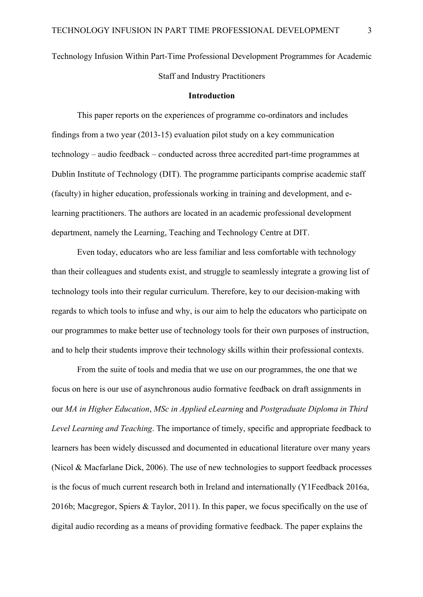Technology Infusion Within Part-Time Professional Development Programmes for Academic Staff and Industry Practitioners

#### **Introduction**

This paper reports on the experiences of programme co-ordinators and includes findings from a two year (2013-15) evaluation pilot study on a key communication technology – audio feedback – conducted across three accredited part-time programmes at Dublin Institute of Technology (DIT). The programme participants comprise academic staff (faculty) in higher education, professionals working in training and development, and elearning practitioners. The authors are located in an academic professional development department, namely the Learning, Teaching and Technology Centre at DIT.

Even today, educators who are less familiar and less comfortable with technology than their colleagues and students exist, and struggle to seamlessly integrate a growing list of technology tools into their regular curriculum. Therefore, key to our decision-making with regards to which tools to infuse and why, is our aim to help the educators who participate on our programmes to make better use of technology tools for their own purposes of instruction, and to help their students improve their technology skills within their professional contexts.

From the suite of tools and media that we use on our programmes, the one that we focus on here is our use of asynchronous audio formative feedback on draft assignments in our *MA in Higher Education*, *MSc in Applied eLearning* and *Postgraduate Diploma in Third Level Learning and Teaching*. The importance of timely, specific and appropriate feedback to learners has been widely discussed and documented in educational literature over many years (Nicol & Macfarlane Dick, 2006). The use of new technologies to support feedback processes is the focus of much current research both in Ireland and internationally (Y1Feedback 2016a, 2016b; Macgregor, Spiers & Taylor, 2011). In this paper, we focus specifically on the use of digital audio recording as a means of providing formative feedback. The paper explains the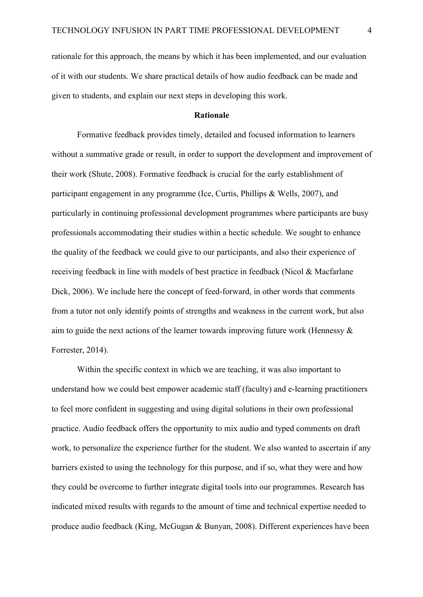rationale for this approach, the means by which it has been implemented, and our evaluation of it with our students. We share practical details of how audio feedback can be made and given to students, and explain our next steps in developing this work.

#### **Rationale**

Formative feedback provides timely, detailed and focused information to learners without a summative grade or result, in order to support the development and improvement of their work (Shute, 2008). Formative feedback is crucial for the early establishment of participant engagement in any programme (Ice, Curtis, Phillips & Wells, 2007), and particularly in continuing professional development programmes where participants are busy professionals accommodating their studies within a hectic schedule. We sought to enhance the quality of the feedback we could give to our participants, and also their experience of receiving feedback in line with models of best practice in feedback (Nicol & Macfarlane Dick, 2006). We include here the concept of feed-forward, in other words that comments from a tutor not only identify points of strengths and weakness in the current work, but also aim to guide the next actions of the learner towards improving future work (Hennessy  $\&$ Forrester, 2014).

Within the specific context in which we are teaching, it was also important to understand how we could best empower academic staff (faculty) and e-learning practitioners to feel more confident in suggesting and using digital solutions in their own professional practice. Audio feedback offers the opportunity to mix audio and typed comments on draft work, to personalize the experience further for the student. We also wanted to ascertain if any barriers existed to using the technology for this purpose, and if so, what they were and how they could be overcome to further integrate digital tools into our programmes. Research has indicated mixed results with regards to the amount of time and technical expertise needed to produce audio feedback (King, McGugan & Bunyan, 2008). Different experiences have been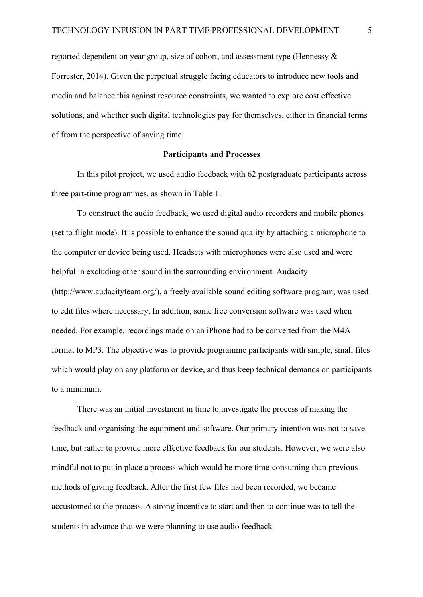reported dependent on year group, size of cohort, and assessment type (Hennessy & Forrester, 2014). Given the perpetual struggle facing educators to introduce new tools and media and balance this against resource constraints, we wanted to explore cost effective solutions, and whether such digital technologies pay for themselves, either in financial terms of from the perspective of saving time.

#### **Participants and Processes**

In this pilot project, we used audio feedback with 62 postgraduate participants across three part-time programmes, as shown in Table 1.

To construct the audio feedback, we used digital audio recorders and mobile phones (set to flight mode). It is possible to enhance the sound quality by attaching a microphone to the computer or device being used. Headsets with microphones were also used and were helpful in excluding other sound in the surrounding environment. Audacity (http://www.audacityteam.org/), a freely available sound editing software program, was used to edit files where necessary. In addition, some free conversion software was used when needed. For example, recordings made on an iPhone had to be converted from the M4A format to MP3. The objective was to provide programme participants with simple, small files which would play on any platform or device, and thus keep technical demands on participants to a minimum.

There was an initial investment in time to investigate the process of making the feedback and organising the equipment and software. Our primary intention was not to save time, but rather to provide more effective feedback for our students. However, we were also mindful not to put in place a process which would be more time-consuming than previous methods of giving feedback. After the first few files had been recorded, we became accustomed to the process. A strong incentive to start and then to continue was to tell the students in advance that we were planning to use audio feedback.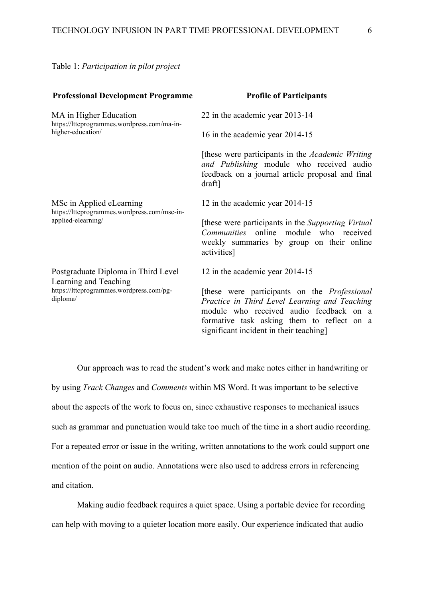Table 1: *Participation in pilot project*

| <b>Professional Development Programme</b>                                                      | <b>Profile of Participants</b>                                                                                                                                                                                                           |
|------------------------------------------------------------------------------------------------|------------------------------------------------------------------------------------------------------------------------------------------------------------------------------------------------------------------------------------------|
| MA in Higher Education<br>https://lttcprogrammes.wordpress.com/ma-in-<br>higher-education/     | 22 in the academic year 2013-14                                                                                                                                                                                                          |
|                                                                                                | 16 in the academic year 2014-15                                                                                                                                                                                                          |
|                                                                                                | [these were participants in the <i>Academic Writing</i><br>and Publishing module who received audio<br>feedback on a journal article proposal and final<br>draft]                                                                        |
| MSc in Applied eLearning<br>https://lttcprogrammes.wordpress.com/msc-in-<br>applied-elearning/ | 12 in the academic year 2014-15                                                                                                                                                                                                          |
|                                                                                                | [these were participants in the <i>Supporting Virtual</i> ]<br>Communities online module who received<br>weekly summaries by group on their online<br>activities]                                                                        |
| Postgraduate Diploma in Third Level<br>Learning and Teaching                                   | 12 in the academic year 2014-15                                                                                                                                                                                                          |
| https://lttcprogrammes.wordpress.com/pg-<br>diploma/                                           | [these were participants on the <i>Professional</i><br>Practice in Third Level Learning and Teaching<br>module who received audio feedback on a<br>formative task asking them to reflect on a<br>significant incident in their teaching. |

Our approach was to read the student's work and make notes either in handwriting or by using *Track Changes* and *Comments* within MS Word. It was important to be selective about the aspects of the work to focus on, since exhaustive responses to mechanical issues such as grammar and punctuation would take too much of the time in a short audio recording. For a repeated error or issue in the writing, written annotations to the work could support one mention of the point on audio. Annotations were also used to address errors in referencing and citation.

Making audio feedback requires a quiet space. Using a portable device for recording can help with moving to a quieter location more easily. Our experience indicated that audio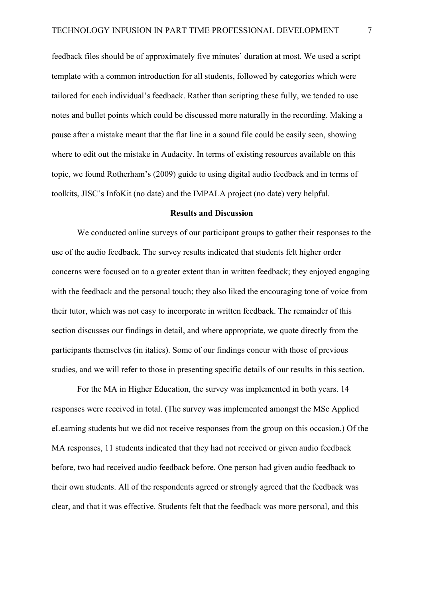feedback files should be of approximately five minutes' duration at most. We used a script template with a common introduction for all students, followed by categories which were tailored for each individual's feedback. Rather than scripting these fully, we tended to use notes and bullet points which could be discussed more naturally in the recording. Making a pause after a mistake meant that the flat line in a sound file could be easily seen, showing where to edit out the mistake in Audacity. In terms of existing resources available on this topic, we found Rotherham's (2009) guide to using digital audio feedback and in terms of toolkits, JISC's InfoKit (no date) and the IMPALA project (no date) very helpful.

#### **Results and Discussion**

We conducted online surveys of our participant groups to gather their responses to the use of the audio feedback. The survey results indicated that students felt higher order concerns were focused on to a greater extent than in written feedback; they enjoyed engaging with the feedback and the personal touch; they also liked the encouraging tone of voice from their tutor, which was not easy to incorporate in written feedback. The remainder of this section discusses our findings in detail, and where appropriate, we quote directly from the participants themselves (in italics). Some of our findings concur with those of previous studies, and we will refer to those in presenting specific details of our results in this section.

For the MA in Higher Education, the survey was implemented in both years. 14 responses were received in total. (The survey was implemented amongst the MSc Applied eLearning students but we did not receive responses from the group on this occasion.) Of the MA responses, 11 students indicated that they had not received or given audio feedback before, two had received audio feedback before. One person had given audio feedback to their own students. All of the respondents agreed or strongly agreed that the feedback was clear, and that it was effective. Students felt that the feedback was more personal, and this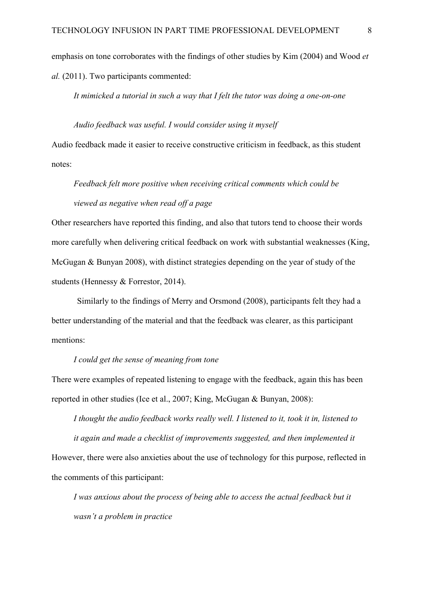emphasis on tone corroborates with the findings of other studies by Kim (2004) and Wood *et al.* (2011). Two participants commented:

*It mimicked a tutorial in such a way that I felt the tutor was doing a one-on-one*

*Audio feedback was useful. I would consider using it myself* Audio feedback made it easier to receive constructive criticism in feedback, as this student notes:

## *Feedback felt more positive when receiving critical comments which could be viewed as negative when read off a page*

Other researchers have reported this finding, and also that tutors tend to choose their words more carefully when delivering critical feedback on work with substantial weaknesses (King, McGugan & Bunyan 2008), with distinct strategies depending on the year of study of the students (Hennessy & Forrestor, 2014).

Similarly to the findings of Merry and Orsmond (2008), participants felt they had a better understanding of the material and that the feedback was clearer, as this participant mentions:

#### *I could get the sense of meaning from tone*

There were examples of repeated listening to engage with the feedback, again this has been reported in other studies (Ice et al., 2007; King, McGugan & Bunyan, 2008):

*I thought the audio feedback works really well. I listened to it, took it in, listened to it again and made a checklist of improvements suggested, and then implemented it* However, there were also anxieties about the use of technology for this purpose, reflected in the comments of this participant:

*I* was anxious about the process of being able to access the actual feedback but it *wasn't a problem in practice*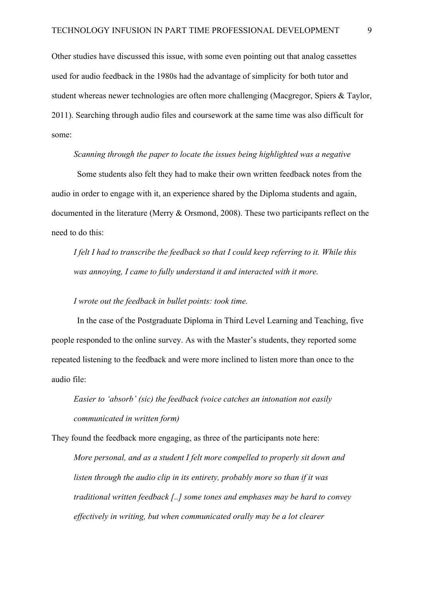Other studies have discussed this issue, with some even pointing out that analog cassettes used for audio feedback in the 1980s had the advantage of simplicity for both tutor and student whereas newer technologies are often more challenging (Macgregor, Spiers & Taylor, 2011). Searching through audio files and coursework at the same time was also difficult for some:

#### *Scanning through the paper to locate the issues being highlighted was a negative*

Some students also felt they had to make their own written feedback notes from the audio in order to engage with it, an experience shared by the Diploma students and again, documented in the literature (Merry & Orsmond, 2008). These two participants reflect on the need to do this:

*I felt I had to transcribe the feedback so that I could keep referring to it. While this was annoying, I came to fully understand it and interacted with it more.*

### *I wrote out the feedback in bullet points: took time.*

In the case of the Postgraduate Diploma in Third Level Learning and Teaching, five people responded to the online survey. As with the Master's students, they reported some repeated listening to the feedback and were more inclined to listen more than once to the audio file:

*Easier to 'absorb' (sic) the feedback (voice catches an intonation not easily communicated in written form)*

They found the feedback more engaging, as three of the participants note here:

*More personal, and as a student I felt more compelled to properly sit down and listen through the audio clip in its entirety, probably more so than if it was traditional written feedback [..] some tones and emphases may be hard to convey effectively in writing, but when communicated orally may be a lot clearer*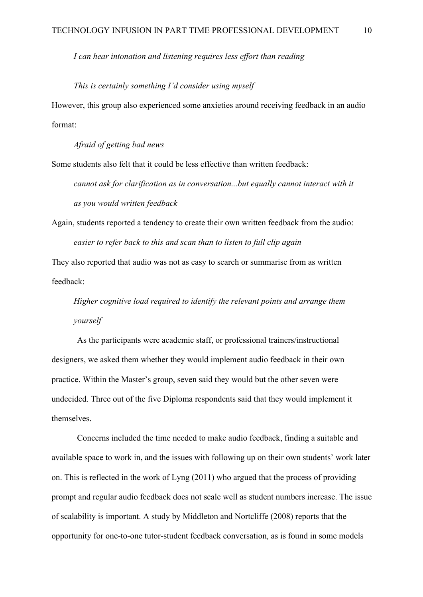*I can hear intonation and listening requires less effort than reading*

*This is certainly something I'd consider using myself*

However, this group also experienced some anxieties around receiving feedback in an audio format:

*Afraid of getting bad news*

Some students also felt that it could be less effective than written feedback:

*cannot ask for clarification as in conversation...but equally cannot interact with it as you would written feedback*

Again, students reported a tendency to create their own written feedback from the audio: *easier to refer back to this and scan than to listen to full clip again*

They also reported that audio was not as easy to search or summarise from as written feedback:

*Higher cognitive load required to identify the relevant points and arrange them yourself*

As the participants were academic staff, or professional trainers/instructional designers, we asked them whether they would implement audio feedback in their own practice. Within the Master's group, seven said they would but the other seven were undecided. Three out of the five Diploma respondents said that they would implement it themselves.

Concerns included the time needed to make audio feedback, finding a suitable and available space to work in, and the issues with following up on their own students' work later on. This is reflected in the work of Lyng (2011) who argued that the process of providing prompt and regular audio feedback does not scale well as student numbers increase. The issue of scalability is important. A study by Middleton and Nortcliffe (2008) reports that the opportunity for one-to-one tutor-student feedback conversation, as is found in some models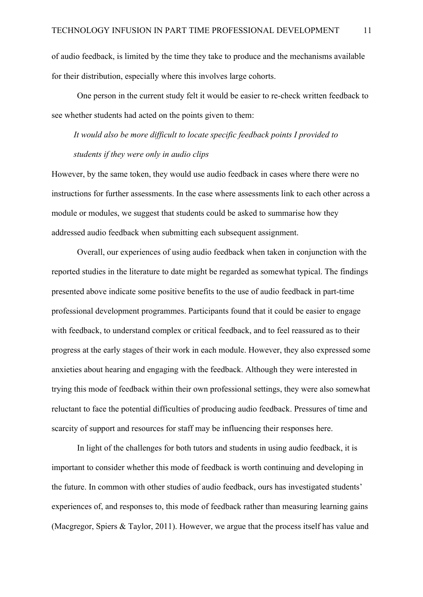of audio feedback, is limited by the time they take to produce and the mechanisms available for their distribution, especially where this involves large cohorts.

One person in the current study felt it would be easier to re-check written feedback to see whether students had acted on the points given to them:

*It would also be more difficult to locate specific feedback points I provided to students if they were only in audio clips*

However, by the same token, they would use audio feedback in cases where there were no instructions for further assessments. In the case where assessments link to each other across a module or modules, we suggest that students could be asked to summarise how they addressed audio feedback when submitting each subsequent assignment.

Overall, our experiences of using audio feedback when taken in conjunction with the reported studies in the literature to date might be regarded as somewhat typical. The findings presented above indicate some positive benefits to the use of audio feedback in part-time professional development programmes. Participants found that it could be easier to engage with feedback, to understand complex or critical feedback, and to feel reassured as to their progress at the early stages of their work in each module. However, they also expressed some anxieties about hearing and engaging with the feedback. Although they were interested in trying this mode of feedback within their own professional settings, they were also somewhat reluctant to face the potential difficulties of producing audio feedback. Pressures of time and scarcity of support and resources for staff may be influencing their responses here.

In light of the challenges for both tutors and students in using audio feedback, it is important to consider whether this mode of feedback is worth continuing and developing in the future. In common with other studies of audio feedback, ours has investigated students' experiences of, and responses to, this mode of feedback rather than measuring learning gains (Macgregor, Spiers & Taylor, 2011). However, we argue that the process itself has value and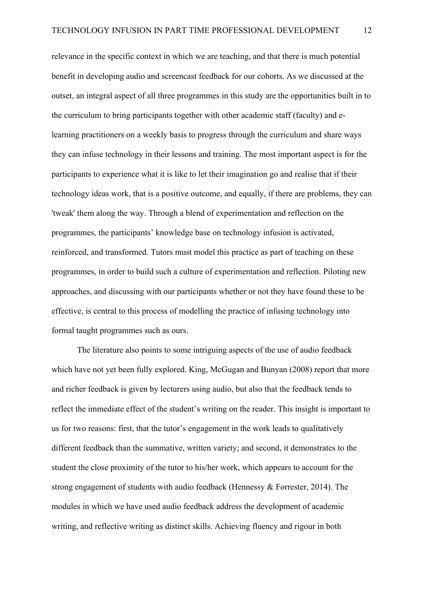relevance in the specific context in which we are teaching, and that there is much potential benefit in developing audio and screencast feedback for our cohorts. As we discussed at the outset, an integral aspect of all three programmes in this study are the opportunities built in to the curriculum to bring participants together with other academic staff (faculty) and elearning practitioners on a weekly basis to progress through the curriculum and share ways they can infuse technology in their lessons and training. The most important aspect is for the participants to experience what it is like to let their imagination go and realise that if their technology ideas work, that is a positive outcome, and equally, if there are problems, they can 'tweak' them along the way. Through a blend of experimentation and reflection on the programmes, the participants' knowledge base on technology infusion is activated, reinforced, and transformed. Tutors must model this practice as part of teaching on these programmes, in order to build such a culture of experimentation and reflection. Piloting new approaches, and discussing with our participants whether or not they have found these to be effective, is central to this process of modelling the practice of infusing technology into formal taught programmes such as ours.

The literature also points to some intriguing aspects of the use of audio feedback which have not yet been fully explored. King, McGugan and Bunyan (2008) report that more and richer feedback is given by lecturers using audio, but also that the feedback tends to reflect the immediate effect of the student's writing on the reader. This insight is important to us for two reasons: first, that the tutor's engagement in the work leads to qualitatively different feedback than the summative, written variety; and second, it demonstrates to the student the close proximity of the tutor to his/her work, which appears to account for the strong engagement of students with audio feedback (Hennessy & Forrester, 2014). The modules in which we have used audio feedback address the development of academic writing, and reflective writing as distinct skills. Achieving fluency and rigour in both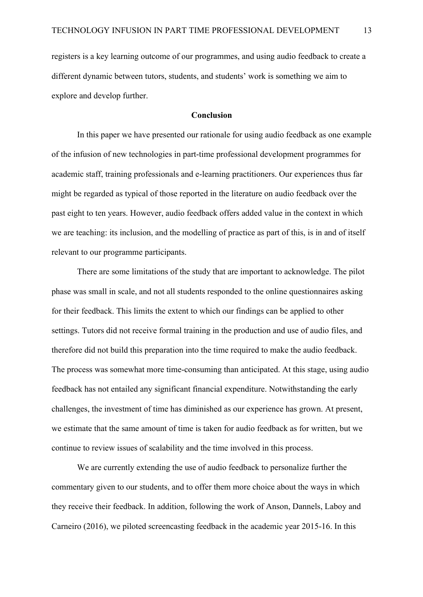registers is a key learning outcome of our programmes, and using audio feedback to create a different dynamic between tutors, students, and students' work is something we aim to explore and develop further.

#### **Conclusion**

In this paper we have presented our rationale for using audio feedback as one example of the infusion of new technologies in part-time professional development programmes for academic staff, training professionals and e-learning practitioners. Our experiences thus far might be regarded as typical of those reported in the literature on audio feedback over the past eight to ten years. However, audio feedback offers added value in the context in which we are teaching: its inclusion, and the modelling of practice as part of this, is in and of itself relevant to our programme participants.

There are some limitations of the study that are important to acknowledge. The pilot phase was small in scale, and not all students responded to the online questionnaires asking for their feedback. This limits the extent to which our findings can be applied to other settings. Tutors did not receive formal training in the production and use of audio files, and therefore did not build this preparation into the time required to make the audio feedback. The process was somewhat more time-consuming than anticipated. At this stage, using audio feedback has not entailed any significant financial expenditure. Notwithstanding the early challenges, the investment of time has diminished as our experience has grown. At present, we estimate that the same amount of time is taken for audio feedback as for written, but we continue to review issues of scalability and the time involved in this process.

We are currently extending the use of audio feedback to personalize further the commentary given to our students, and to offer them more choice about the ways in which they receive their feedback. In addition, following the work of Anson, Dannels, Laboy and Carneiro (2016), we piloted screencasting feedback in the academic year 2015-16. In this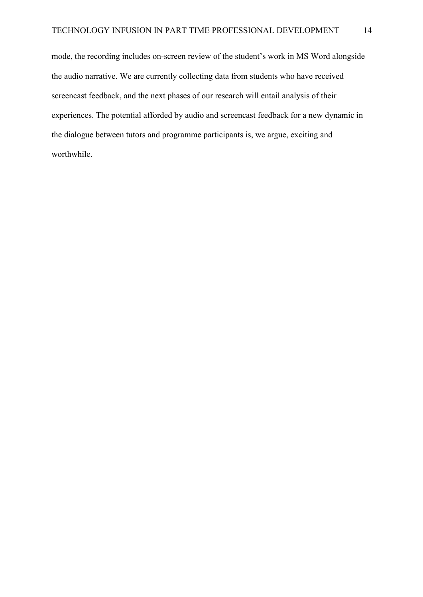mode, the recording includes on-screen review of the student's work in MS Word alongside the audio narrative. We are currently collecting data from students who have received screencast feedback, and the next phases of our research will entail analysis of their experiences. The potential afforded by audio and screencast feedback for a new dynamic in the dialogue between tutors and programme participants is, we argue, exciting and worthwhile.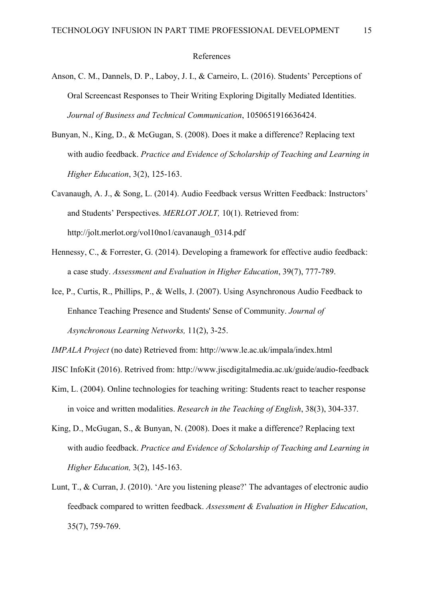#### References

- Anson, C. M., Dannels, D. P., Laboy, J. I., & Carneiro, L. (2016). Students' Perceptions of Oral Screencast Responses to Their Writing Exploring Digitally Mediated Identities. *Journal of Business and Technical Communication*, 1050651916636424.
- Bunyan, N., King, D., & McGugan, S. (2008). Does it make a difference? Replacing text with audio feedback. *Practice and Evidence of Scholarship of Teaching and Learning in Higher Education*, 3(2), 125-163.
- Cavanaugh, A. J., & Song, L. (2014). Audio Feedback versus Written Feedback: Instructors' and Students' Perspectives. *MERLOT JOLT,* 10(1). Retrieved from: http://jolt.merlot.org/vol10no1/cavanaugh\_0314.pdf
- Hennessy, C., & Forrester, G. (2014). Developing a framework for effective audio feedback: a case study. *Assessment and Evaluation in Higher Education*, 39(7), 777-789.
- Ice, P., Curtis, R., Phillips, P., & Wells, J. (2007). Using Asynchronous Audio Feedback to Enhance Teaching Presence and Students' Sense of Community. *Journal of Asynchronous Learning Networks,* 11(2), 3-25.

- JISC InfoKit (2016). Retrived from: http://www.jiscdigitalmedia.ac.uk/guide/audio-feedback
- Kim, L. (2004). Online technologies for teaching writing: Students react to teacher response in voice and written modalities. *Research in the Teaching of English*, 38(3), 304-337.
- King, D., McGugan, S., & Bunyan, N. (2008). Does it make a difference? Replacing text with audio feedback. *Practice and Evidence of Scholarship of Teaching and Learning in Higher Education,* 3(2), 145-163.
- Lunt, T., & Curran, J. (2010). 'Are you listening please?' The advantages of electronic audio feedback compared to written feedback. *Assessment & Evaluation in Higher Education*, 35(7), 759-769.

*IMPALA Project* (no date) Retrieved from: http://www.le.ac.uk/impala/index.html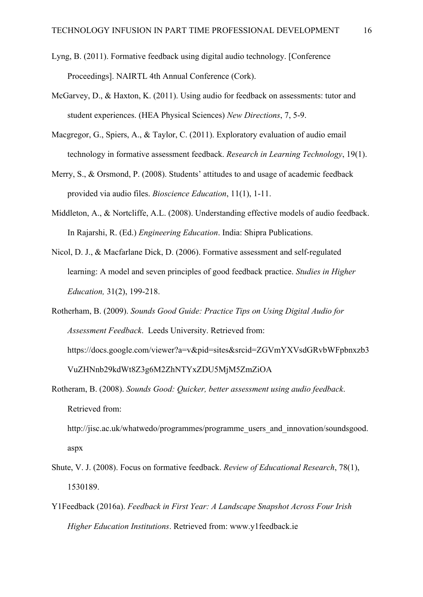- Lyng, B. (2011). Formative feedback using digital audio technology. [Conference Proceedings]. NAIRTL 4th Annual Conference (Cork).
- McGarvey, D., & Haxton, K. (2011). Using audio for feedback on assessments: tutor and student experiences. (HEA Physical Sciences) *New Directions*, 7, 5-9.
- Macgregor, G., Spiers, A., & Taylor, C. (2011). Exploratory evaluation of audio email technology in formative assessment feedback. *Research in Learning Technology*, 19(1).
- Merry, S., & Orsmond, P. (2008). Students' attitudes to and usage of academic feedback provided via audio files. *Bioscience Education*, 11(1), 1-11.
- Middleton, A., & Nortcliffe, A.L. (2008). Understanding effective models of audio feedback. In Rajarshi, R. (Ed.) *Engineering Education*. India: Shipra Publications.
- Nicol, D. J., & Macfarlane Dick, D. (2006). Formative assessment and self-regulated learning: A model and seven principles of good feedback practice. *Studies in Higher Education,* 31(2), 199-218.
- Rotherham, B. (2009). *Sounds Good Guide: Practice Tips on Using Digital Audio for Assessment Feedback*. Leeds University. Retrieved from: https://docs.google.com/viewer?a=v&pid=sites&srcid=ZGVmYXVsdGRvbWFpbnxzb3 VuZHNnb29kdWt8Z3g6M2ZhNTYxZDU5MjM5ZmZiOA
- Rotheram, B. (2008). *Sounds Good: Quicker, better assessment using audio feedback*. Retrieved from:

http://jisc.ac.uk/whatwedo/programmes/programme\_users\_and\_innovation/soundsgood. aspx

- Shute, V. J. (2008). Focus on formative feedback. *Review of Educational Research*, 78(1), 1530189.
- Y1Feedback (2016a). *Feedback in First Year: A Landscape Snapshot Across Four Irish Higher Education Institutions*. Retrieved from: www.y1feedback.ie